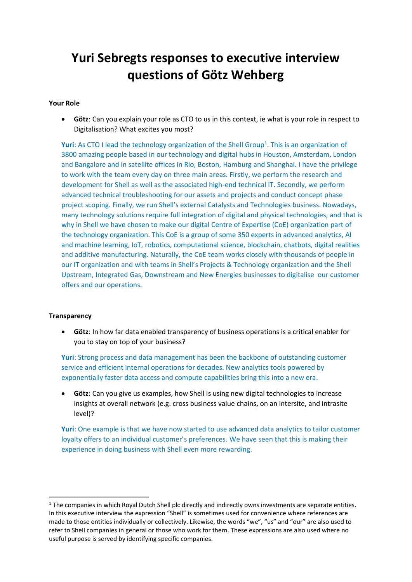# **Yuri Sebregts responses to executive interview questions of Götz Wehberg**

# **Your Role**

• **Götz**: Can you explain your role as CTO to us in this context, ie what is your role in respect to Digitalisation? What excites you most?

**Yuri**: As CTO I lead the technology organization of the Shell Group<sup>1</sup>. This is an organization of 3800 amazing people based in our technology and digital hubs in Houston, Amsterdam, London and Bangalore and in satellite offices in Rio, Boston, Hamburg and Shanghai. I have the privilege to work with the team every day on three main areas. Firstly, we perform the research and development for Shell as well as the associated high-end technical IT. Secondly, we perform advanced technical troubleshooting for our assets and projects and conduct concept phase project scoping. Finally, we run Shell's external Catalysts and Technologies business. Nowadays, many technology solutions require full integration of digital and physical technologies, and that is why in Shell we have chosen to make our digital Centre of Expertise (CoE) organization part of the technology organization. This CoE is a group of some 350 experts in advanced analytics, AI and machine learning, IoT, robotics, computational science, blockchain, chatbots, digital realities and additive manufacturing. Naturally, the CoE team works closely with thousands of people in our IT organization and with teams in Shell's Projects & Technology organization and the Shell Upstream, Integrated Gas, Downstream and New Energies businesses to digitalise our customer offers and our operations.

### **Transparency**

• **Götz**: In how far data enabled transparency of business operations is a critical enabler for you to stay on top of your business?

**Yuri**: Strong process and data management has been the backbone of outstanding customer service and efficient internal operations for decades. New analytics tools powered by exponentially faster data access and compute capabilities bring this into a new era.

• **Götz**: Can you give us examples, how Shell is using new digital technologies to increase insights at overall network (e.g. cross business value chains, on an intersite, and intrasite level)?

**Yuri**: One example is that we have now started to use advanced data analytics to tailor customer loyalty offers to an individual customer's preferences. We have seen that this is making their experience in doing business with Shell even more rewarding.

<sup>&</sup>lt;sup>1</sup> The companies in which Royal Dutch Shell plc directly and indirectly owns investments are separate entities. In this executive interview the expression "Shell" is sometimes used for convenience where references are made to those entities individually or collectively. Likewise, the words "we", "us" and "our" are also used to refer to Shell companies in general or those who work for them. These expressions are also used where no useful purpose is served by identifying specific companies.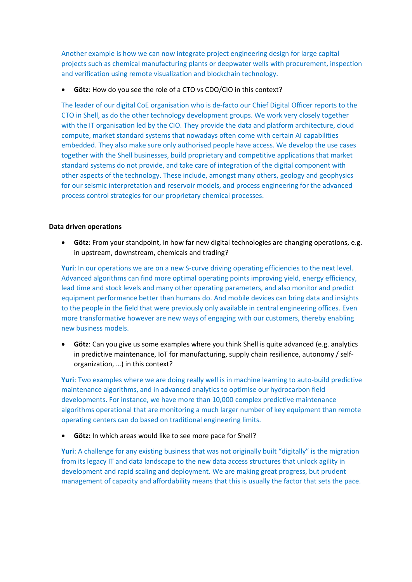Another example is how we can now integrate project engineering design for large capital projects such as chemical manufacturing plants or deepwater wells with procurement, inspection and verification using remote visualization and blockchain technology.

• **Götz**: How do you see the role of a CTO vs CDO/CIO in this context?

The leader of our digital CoE organisation who is de-facto our Chief Digital Officer reports to the CTO in Shell, as do the other technology development groups. We work very closely together with the IT organisation led by the CIO. They provide the data and platform architecture, cloud compute, market standard systems that nowadays often come with certain AI capabilities embedded. They also make sure only authorised people have access. We develop the use cases together with the Shell businesses, build proprietary and competitive applications that market standard systems do not provide, and take care of integration of the digital component with other aspects of the technology. These include, amongst many others, geology and geophysics for our seismic interpretation and reservoir models, and process engineering for the advanced process control strategies for our proprietary chemical processes.

### **Data driven operations**

• **Götz**: From your standpoint, in how far new digital technologies are changing operations, e.g. in upstream, downstream, chemicals and trading?

Yuri: In our operations we are on a new S-curve driving operating efficiencies to the next level. Advanced algorithms can find more optimal operating points improving yield, energy efficiency, lead time and stock levels and many other operating parameters, and also monitor and predict equipment performance better than humans do. And mobile devices can bring data and insights to the people in the field that were previously only available in central engineering offices. Even more transformative however are new ways of engaging with our customers, thereby enabling new business models.

• **Götz**: Can you give us some examples where you think Shell is quite advanced (e.g. analytics in predictive maintenance, IoT for manufacturing, supply chain resilience, autonomy / selforganization, …) in this context?

**Yuri**: Two examples where we are doing really well is in machine learning to auto-build predictive maintenance algorithms, and in advanced analytics to optimise our hydrocarbon field developments. For instance, we have more than 10,000 complex predictive maintenance algorithms operational that are monitoring a much larger number of key equipment than remote operating centers can do based on traditional engineering limits.

• **Götz:** In which areas would like to see more pace for Shell?

**Yuri**: A challenge for any existing business that was not originally built "digitally" is the migration from its legacy IT and data landscape to the new data access structures that unlock agility in development and rapid scaling and deployment. We are making great progress, but prudent management of capacity and affordability means that this is usually the factor that sets the pace.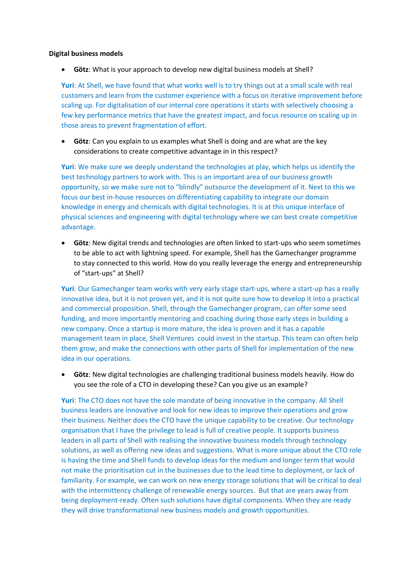#### **Digital business models**

• **Götz**: What is your approach to develop new digital business models at Shell?

**Yuri**: At Shell, we have found that what works well is to try things out at a small scale with real customers and learn from the customer experience with a focus on iterative improvement before scaling up. For digitalisation of our internal core operations it starts with selectively choosing a few key performance metrics that have the greatest impact, and focus resource on scaling up in those areas to prevent fragmentation of effort.

• **Götz**: Can you explain to us examples what Shell is doing and are what are the key considerations to create competitive advantage in in this respect?

**Yuri**: We make sure we deeply understand the technologies at play, which helps us identify the best technology partners to work with. This is an important area of our business growth opportunity, so we make sure not to "blindly" outsource the development of it. Next to this we focus our best in-house resources on differentiating capability to integrate our domain knowledge in energy and chemicals with digital technologies. It is at this unique interface of physical sciences and engineering with digital technology where we can best create competitive advantage.

• **Götz**: New digital trends and technologies are often linked to start-ups who seem sometimes to be able to act with lightning speed. For example, Shell has the Gamechanger programme to stay connected to this world. How do you really leverage the energy and entrepreneurship of "start-ups" at Shell?

**Yuri**: Our Gamechanger team works with very early stage start-ups, where a start-up has a really innovative idea, but it is not proven yet, and it is not quite sure how to develop it into a practical and commercial proposition. Shell, through the Gamechanger program, can offer some seed funding, and more importantly mentoring and coaching during those early steps in building a new company. Once a startup is more mature, the idea is proven and it has a capable management team in place, Shell Ventures could invest in the startup. This team can often help them grow, and make the connections with other parts of Shell for implementation of the new idea in our operations.

• **Götz**: New digital technologies are challenging traditional business models heavily. How do you see the role of a CTO in developing these? Can you give us an example?

**Yuri**: The CTO does not have the sole mandate of being innovative in the company. All Shell business leaders are innovative and look for new ideas to improve their operations and grow their business. Neither does the CTO have the unique capability to be creative. Our technology organisation that I have the privilege to lead is full of creative people. It supports business leaders in all parts of Shell with realising the innovative business models through technology solutions, as well as offering new ideas and suggestions. What is more unique about the CTO role is having the time and Shell funds to develop ideas for the medium and longer term that would not make the prioritisation cut in the businesses due to the lead time to deployment, or lack of familiarity. For example, we can work on new energy storage solutions that will be critical to deal with the intermittency challenge of renewable energy sources. But that are years away from being deployment-ready. Often such solutions have digital components. When they are ready they will drive transformational new business models and growth opportunities.